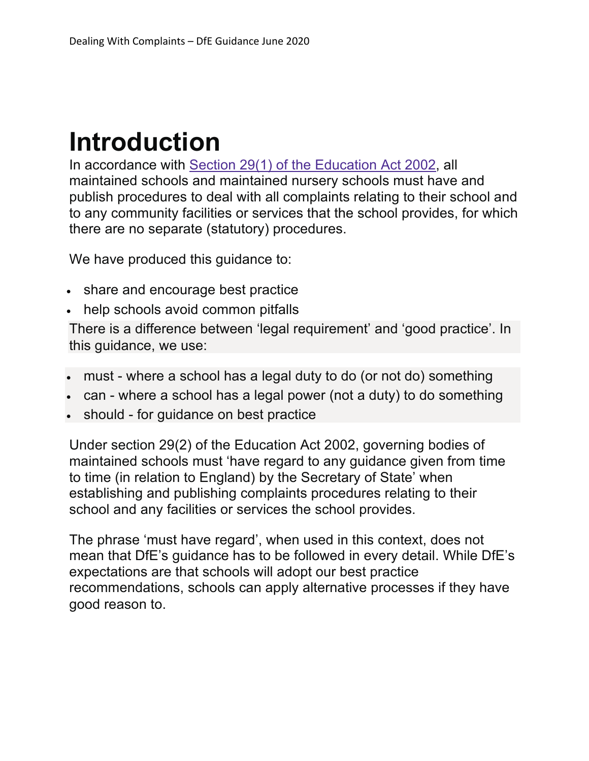## **Introduction**

In accordance with Section 29(1) of the Education Act 2002, all maintained schools and maintained nursery schools must have and publish procedures to deal with all complaints relating to their school and to any community facilities or services that the school provides, for which there are no separate (statutory) procedures.

We have produced this guidance to:

- share and encourage best practice
- help schools avoid common pitfalls

There is a difference between 'legal requirement' and 'good practice'. In this guidance, we use:

- must where a school has a legal duty to do (or not do) something
- can where a school has a legal power (not a duty) to do something
- should for guidance on best practice

Under section 29(2) of the Education Act 2002, governing bodies of maintained schools must 'have regard to any guidance given from time to time (in relation to England) by the Secretary of State' when establishing and publishing complaints procedures relating to their school and any facilities or services the school provides.

The phrase 'must have regard', when used in this context, does not mean that DfE's guidance has to be followed in every detail. While DfE's expectations are that schools will adopt our best practice recommendations, schools can apply alternative processes if they have good reason to.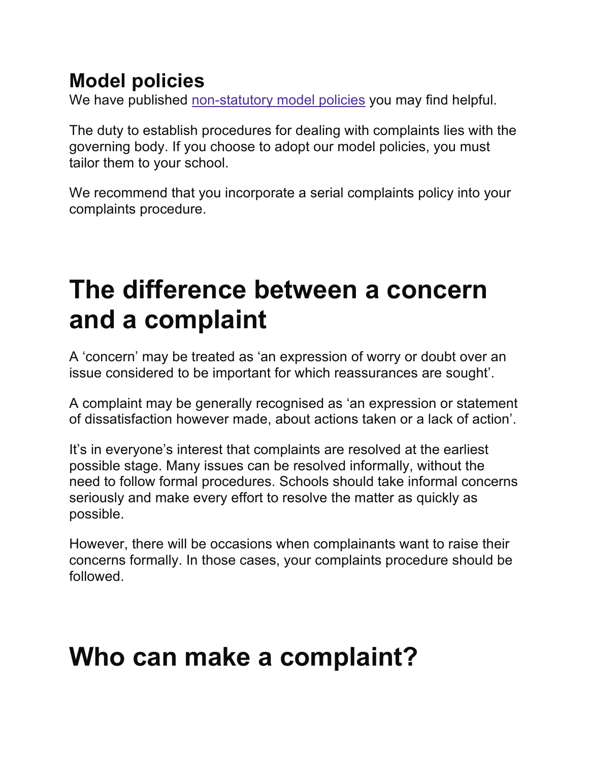### **Model policies**

We have published non-statutory model policies you may find helpful.

The duty to establish procedures for dealing with complaints lies with the governing body. If you choose to adopt our model policies, you must tailor them to your school.

We recommend that you incorporate a serial complaints policy into your complaints procedure.

## **The difference between a concern and a complaint**

A 'concern' may be treated as 'an expression of worry or doubt over an issue considered to be important for which reassurances are sought'.

A complaint may be generally recognised as 'an expression or statement of dissatisfaction however made, about actions taken or a lack of action'.

It's in everyone's interest that complaints are resolved at the earliest possible stage. Many issues can be resolved informally, without the need to follow formal procedures. Schools should take informal concerns seriously and make every effort to resolve the matter as quickly as possible.

However, there will be occasions when complainants want to raise their concerns formally. In those cases, your complaints procedure should be followed.

## **Who can make a complaint?**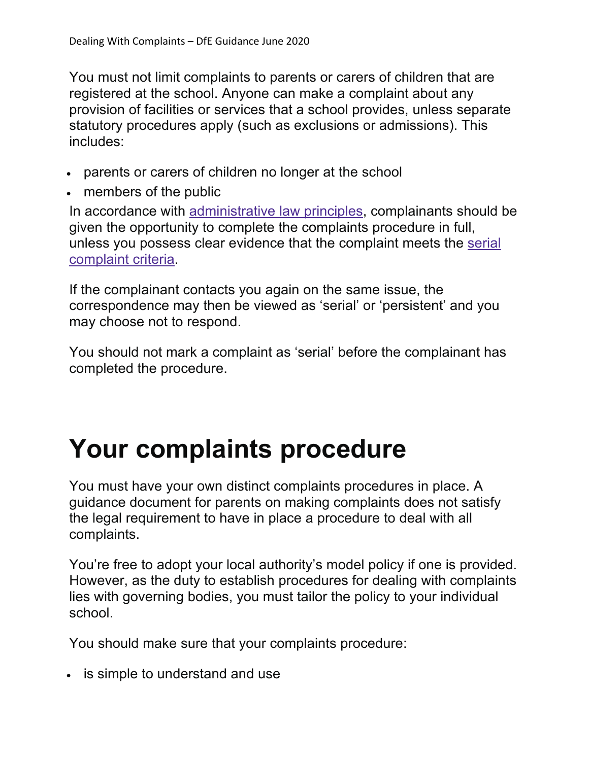You must not limit complaints to parents or carers of children that are registered at the school. Anyone can make a complaint about any provision of facilities or services that a school provides, unless separate statutory procedures apply (such as exclusions or admissions). This includes:

- parents or carers of children no longer at the school
- members of the public

In accordance with administrative law principles, complainants should be given the opportunity to complete the complaints procedure in full, unless you possess clear evidence that the complaint meets the serial complaint criteria.

If the complainant contacts you again on the same issue, the correspondence may then be viewed as 'serial' or 'persistent' and you may choose not to respond.

You should not mark a complaint as 'serial' before the complainant has completed the procedure.

## **Your complaints procedure**

You must have your own distinct complaints procedures in place. A guidance document for parents on making complaints does not satisfy the legal requirement to have in place a procedure to deal with all complaints.

You're free to adopt your local authority's model policy if one is provided. However, as the duty to establish procedures for dealing with complaints lies with governing bodies, you must tailor the policy to your individual school.

You should make sure that your complaints procedure:

• is simple to understand and use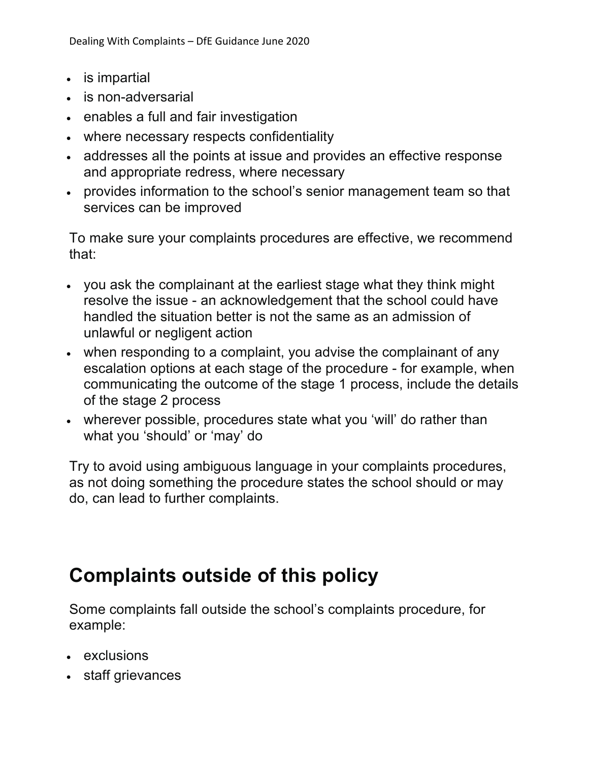- is impartial
- is non-adversarial
- enables a full and fair investigation
- where necessary respects confidentiality
- addresses all the points at issue and provides an effective response and appropriate redress, where necessary
- provides information to the school's senior management team so that services can be improved

To make sure your complaints procedures are effective, we recommend that:

- you ask the complainant at the earliest stage what they think might resolve the issue - an acknowledgement that the school could have handled the situation better is not the same as an admission of unlawful or negligent action
- when responding to a complaint, you advise the complainant of any escalation options at each stage of the procedure - for example, when communicating the outcome of the stage 1 process, include the details of the stage 2 process
- wherever possible, procedures state what you 'will' do rather than what you 'should' or 'may' do

Try to avoid using ambiguous language in your complaints procedures, as not doing something the procedure states the school should or may do, can lead to further complaints.

## **Complaints outside of this policy**

Some complaints fall outside the school's complaints procedure, for example:

- exclusions
- staff grievances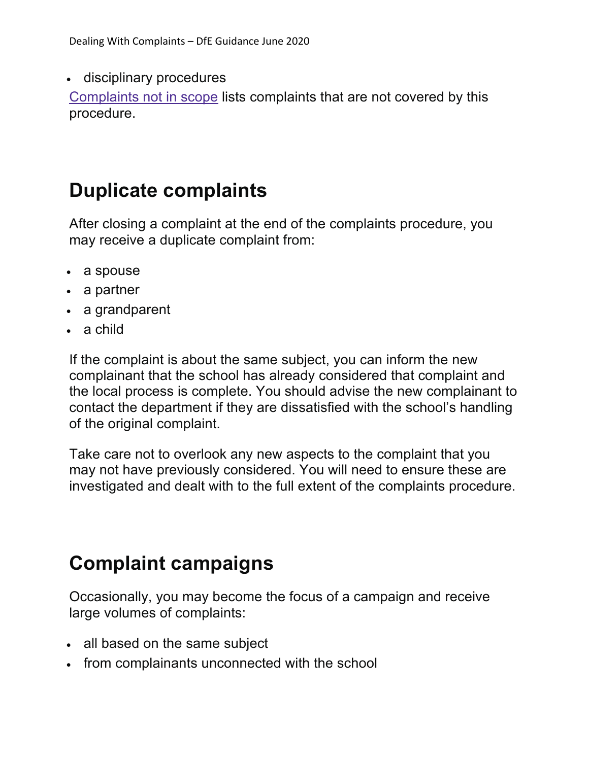• disciplinary procedures

Complaints not in scope lists complaints that are not covered by this procedure.

#### **Duplicate complaints**

After closing a complaint at the end of the complaints procedure, you may receive a duplicate complaint from:

- a spouse
- a partner
- a grandparent
- a child

If the complaint is about the same subject, you can inform the new complainant that the school has already considered that complaint and the local process is complete. You should advise the new complainant to contact the department if they are dissatisfied with the school's handling of the original complaint.

Take care not to overlook any new aspects to the complaint that you may not have previously considered. You will need to ensure these are investigated and dealt with to the full extent of the complaints procedure.

## **Complaint campaigns**

Occasionally, you may become the focus of a campaign and receive large volumes of complaints:

- all based on the same subject
- from complainants unconnected with the school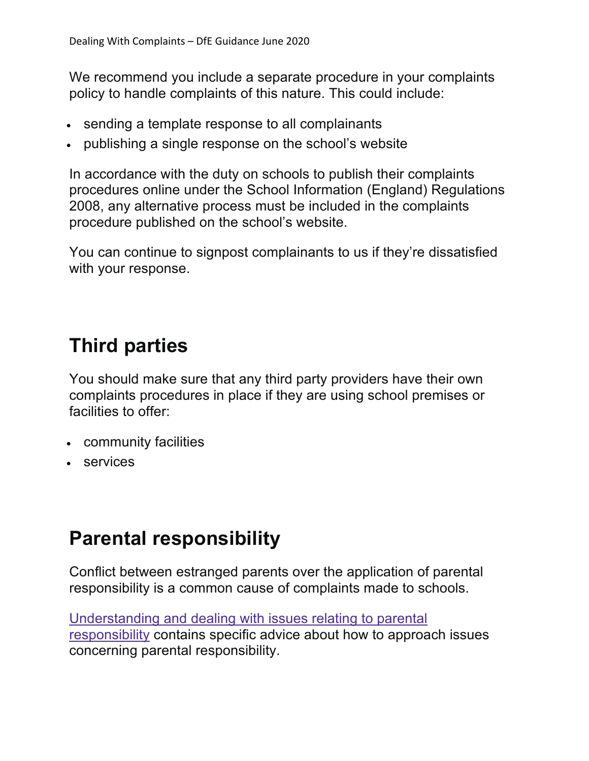We recommend you include a separate procedure in your complaints policy to handle complaints of this nature. This could include:

- sending a template response to all complainants
- publishing a single response on the school's website

In accordance with the duty on schools to publish their complaints procedures online under the School Information (England) Regulations 2008, any alternative process must be included in the complaints procedure published on the school's website.

You can continue to signpost complainants to us if they're dissatisfied with your response.

#### **Third parties**

You should make sure that any third party providers have their own complaints procedures in place if they are using school premises or facilities to offer:

- community facilities
- services

#### **Parental responsibility**

Conflict between estranged parents over the application of parental responsibility is a common cause of complaints made to schools.

Understanding and dealing with issues relating to parental responsibility contains specific advice about how to approach issues concerning parental responsibility.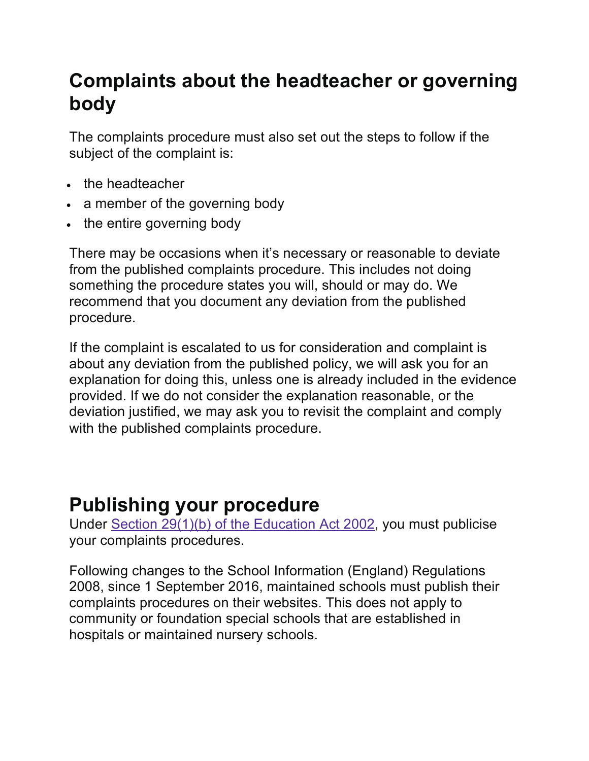#### **Complaints about the headteacher or governing body**

The complaints procedure must also set out the steps to follow if the subject of the complaint is:

- the headteacher
- a member of the governing body
- the entire governing body

There may be occasions when it's necessary or reasonable to deviate from the published complaints procedure. This includes not doing something the procedure states you will, should or may do. We recommend that you document any deviation from the published procedure.

If the complaint is escalated to us for consideration and complaint is about any deviation from the published policy, we will ask you for an explanation for doing this, unless one is already included in the evidence provided. If we do not consider the explanation reasonable, or the deviation justified, we may ask you to revisit the complaint and comply with the published complaints procedure.

#### **Publishing your procedure**

Under Section 29(1)(b) of the Education Act 2002, you must publicise your complaints procedures.

Following changes to the School Information (England) Regulations 2008, since 1 September 2016, maintained schools must publish their complaints procedures on their websites. This does not apply to community or foundation special schools that are established in hospitals or maintained nursery schools.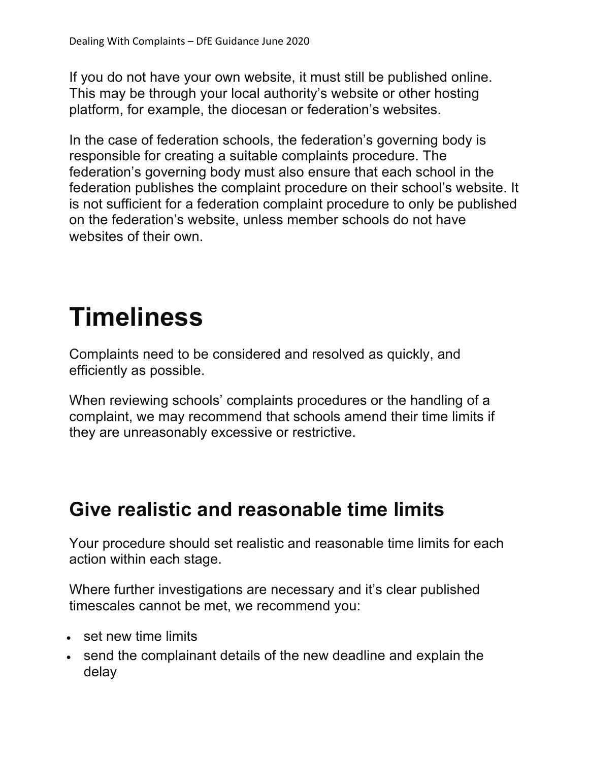If you do not have your own website, it must still be published online. This may be through your local authority's website or other hosting platform, for example, the diocesan or federation's websites.

In the case of federation schools, the federation's governing body is responsible for creating a suitable complaints procedure. The federation's governing body must also ensure that each school in the federation publishes the complaint procedure on their school's website. It is not sufficient for a federation complaint procedure to only be published on the federation's website, unless member schools do not have websites of their own.

# **Timeliness**

Complaints need to be considered and resolved as quickly, and efficiently as possible.

When reviewing schools' complaints procedures or the handling of a complaint, we may recommend that schools amend their time limits if they are unreasonably excessive or restrictive.

#### **Give realistic and reasonable time limits**

Your procedure should set realistic and reasonable time limits for each action within each stage.

Where further investigations are necessary and it's clear published timescales cannot be met, we recommend you:

- set new time limits
- send the complainant details of the new deadline and explain the delay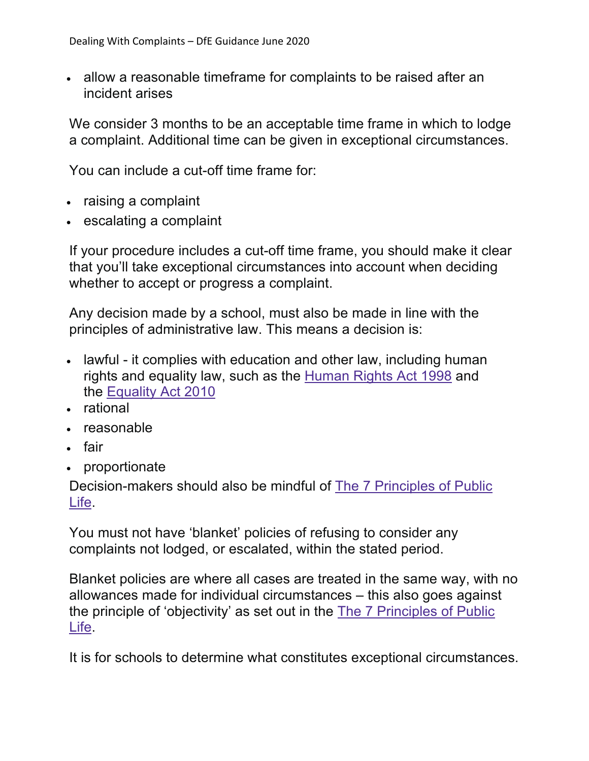• allow a reasonable timeframe for complaints to be raised after an incident arises

We consider 3 months to be an acceptable time frame in which to lodge a complaint. Additional time can be given in exceptional circumstances.

You can include a cut-off time frame for:

- raising a complaint
- escalating a complaint

If your procedure includes a cut-off time frame, you should make it clear that you'll take exceptional circumstances into account when deciding whether to accept or progress a complaint.

Any decision made by a school, must also be made in line with the principles of administrative law. This means a decision is:

- lawful it complies with education and other law, including human rights and equality law, such as the Human Rights Act 1998 and the Equality Act 2010
- rational
- reasonable
- fair
- proportionate

Decision-makers should also be mindful of The 7 Principles of Public Life.

You must not have 'blanket' policies of refusing to consider any complaints not lodged, or escalated, within the stated period.

Blanket policies are where all cases are treated in the same way, with no allowances made for individual circumstances – this also goes against the principle of 'objectivity' as set out in the The 7 Principles of Public Life.

It is for schools to determine what constitutes exceptional circumstances.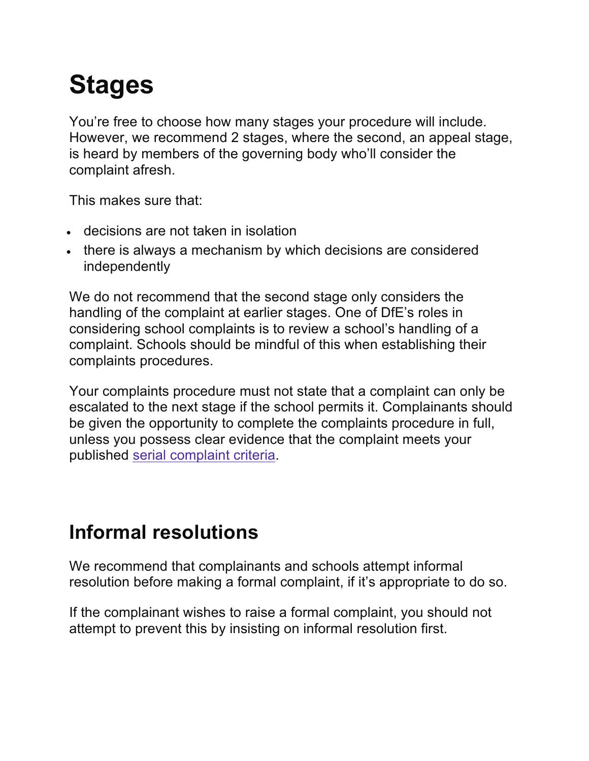# **Stages**

You're free to choose how many stages your procedure will include. However, we recommend 2 stages, where the second, an appeal stage, is heard by members of the governing body who'll consider the complaint afresh.

This makes sure that:

- decisions are not taken in isolation
- there is always a mechanism by which decisions are considered independently

We do not recommend that the second stage only considers the handling of the complaint at earlier stages. One of DfE's roles in considering school complaints is to review a school's handling of a complaint. Schools should be mindful of this when establishing their complaints procedures.

Your complaints procedure must not state that a complaint can only be escalated to the next stage if the school permits it. Complainants should be given the opportunity to complete the complaints procedure in full, unless you possess clear evidence that the complaint meets your published serial complaint criteria.

## **Informal resolutions**

We recommend that complainants and schools attempt informal resolution before making a formal complaint, if it's appropriate to do so.

If the complainant wishes to raise a formal complaint, you should not attempt to prevent this by insisting on informal resolution first.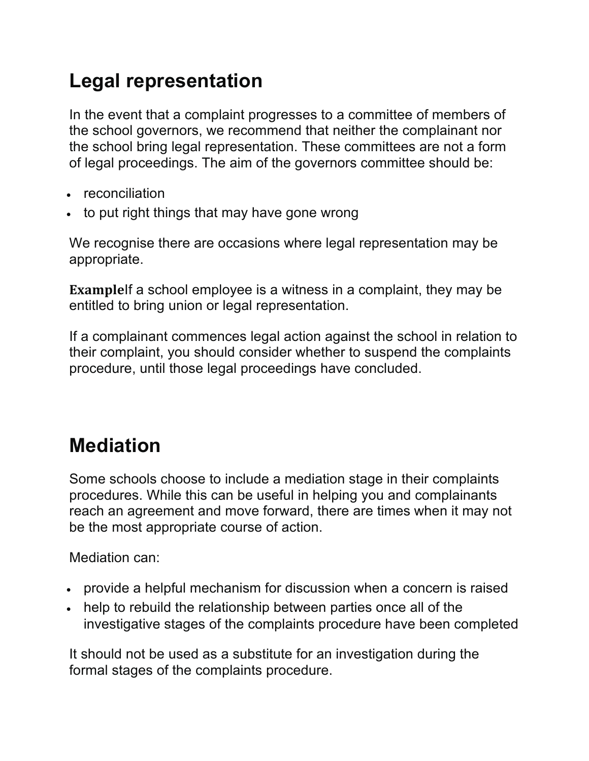## **Legal representation**

In the event that a complaint progresses to a committee of members of the school governors, we recommend that neither the complainant nor the school bring legal representation. These committees are not a form of legal proceedings. The aim of the governors committee should be:

- reconciliation
- to put right things that may have gone wrong

We recognise there are occasions where legal representation may be appropriate.

**Example**If a school employee is a witness in a complaint, they may be entitled to bring union or legal representation.

If a complainant commences legal action against the school in relation to their complaint, you should consider whether to suspend the complaints procedure, until those legal proceedings have concluded.

## **Mediation**

Some schools choose to include a mediation stage in their complaints procedures. While this can be useful in helping you and complainants reach an agreement and move forward, there are times when it may not be the most appropriate course of action.

Mediation can:

- provide a helpful mechanism for discussion when a concern is raised
- help to rebuild the relationship between parties once all of the investigative stages of the complaints procedure have been completed

It should not be used as a substitute for an investigation during the formal stages of the complaints procedure.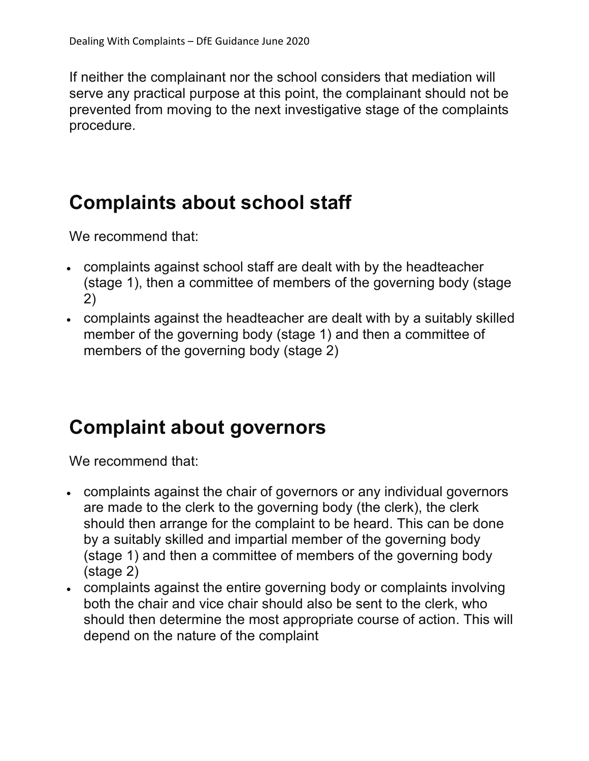If neither the complainant nor the school considers that mediation will serve any practical purpose at this point, the complainant should not be prevented from moving to the next investigative stage of the complaints procedure.

#### **Complaints about school staff**

We recommend that:

- complaints against school staff are dealt with by the headteacher (stage 1), then a committee of members of the governing body (stage 2)
- complaints against the headteacher are dealt with by a suitably skilled member of the governing body (stage 1) and then a committee of members of the governing body (stage 2)

#### **Complaint about governors**

We recommend that:

- complaints against the chair of governors or any individual governors are made to the clerk to the governing body (the clerk), the clerk should then arrange for the complaint to be heard. This can be done by a suitably skilled and impartial member of the governing body (stage 1) and then a committee of members of the governing body (stage 2)
- complaints against the entire governing body or complaints involving both the chair and vice chair should also be sent to the clerk, who should then determine the most appropriate course of action. This will depend on the nature of the complaint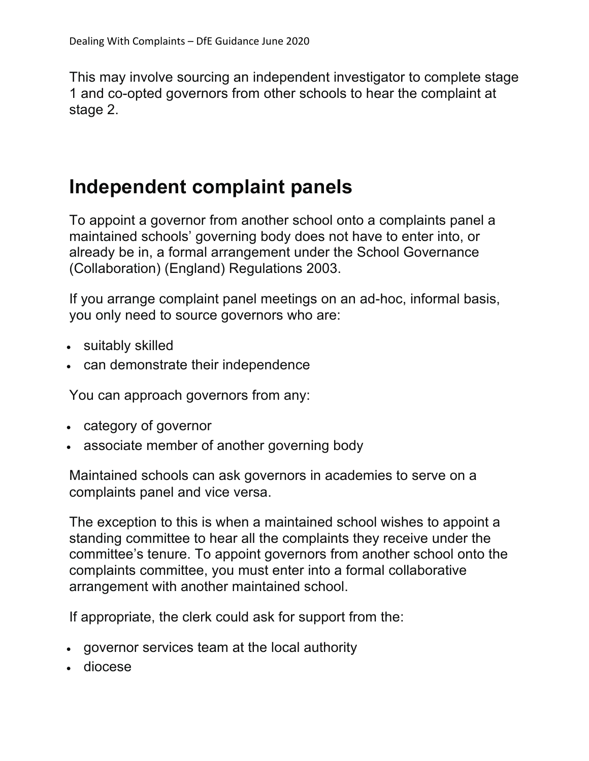This may involve sourcing an independent investigator to complete stage 1 and co-opted governors from other schools to hear the complaint at stage 2.

#### **Independent complaint panels**

To appoint a governor from another school onto a complaints panel a maintained schools' governing body does not have to enter into, or already be in, a formal arrangement under the School Governance (Collaboration) (England) Regulations 2003.

If you arrange complaint panel meetings on an ad-hoc, informal basis, you only need to source governors who are:

- suitably skilled
- can demonstrate their independence

You can approach governors from any:

- category of governor
- associate member of another governing body

Maintained schools can ask governors in academies to serve on a complaints panel and vice versa.

The exception to this is when a maintained school wishes to appoint a standing committee to hear all the complaints they receive under the committee's tenure. To appoint governors from another school onto the complaints committee, you must enter into a formal collaborative arrangement with another maintained school.

If appropriate, the clerk could ask for support from the:

- governor services team at the local authority
- diocese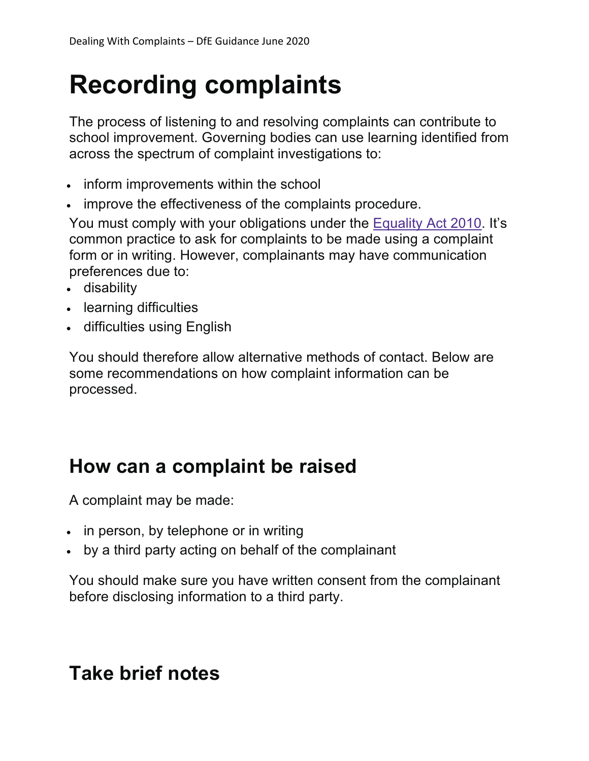# **Recording complaints**

The process of listening to and resolving complaints can contribute to school improvement. Governing bodies can use learning identified from across the spectrum of complaint investigations to:

- inform improvements within the school
- improve the effectiveness of the complaints procedure.

You must comply with your obligations under the Equality Act 2010. It's common practice to ask for complaints to be made using a complaint form or in writing. However, complainants may have communication preferences due to:

- disability
- learning difficulties
- difficulties using English

You should therefore allow alternative methods of contact. Below are some recommendations on how complaint information can be processed.

#### **How can a complaint be raised**

A complaint may be made:

- in person, by telephone or in writing
- by a third party acting on behalf of the complainant

You should make sure you have written consent from the complainant before disclosing information to a third party.

#### **Take brief notes**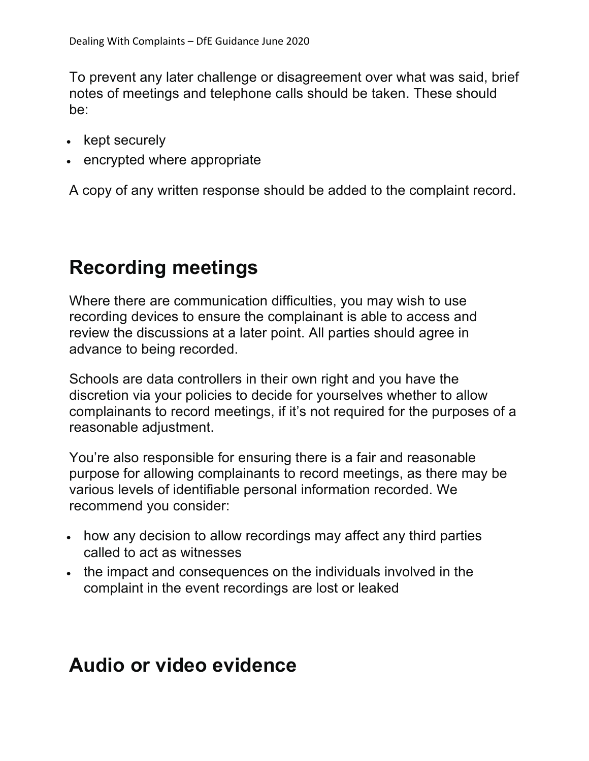To prevent any later challenge or disagreement over what was said, brief notes of meetings and telephone calls should be taken. These should be:

- kept securely
- encrypted where appropriate

A copy of any written response should be added to the complaint record.

#### **Recording meetings**

Where there are communication difficulties, you may wish to use recording devices to ensure the complainant is able to access and review the discussions at a later point. All parties should agree in advance to being recorded.

Schools are data controllers in their own right and you have the discretion via your policies to decide for yourselves whether to allow complainants to record meetings, if it's not required for the purposes of a reasonable adjustment.

You're also responsible for ensuring there is a fair and reasonable purpose for allowing complainants to record meetings, as there may be various levels of identifiable personal information recorded. We recommend you consider:

- how any decision to allow recordings may affect any third parties called to act as witnesses
- the impact and consequences on the individuals involved in the complaint in the event recordings are lost or leaked

#### **Audio or video evidence**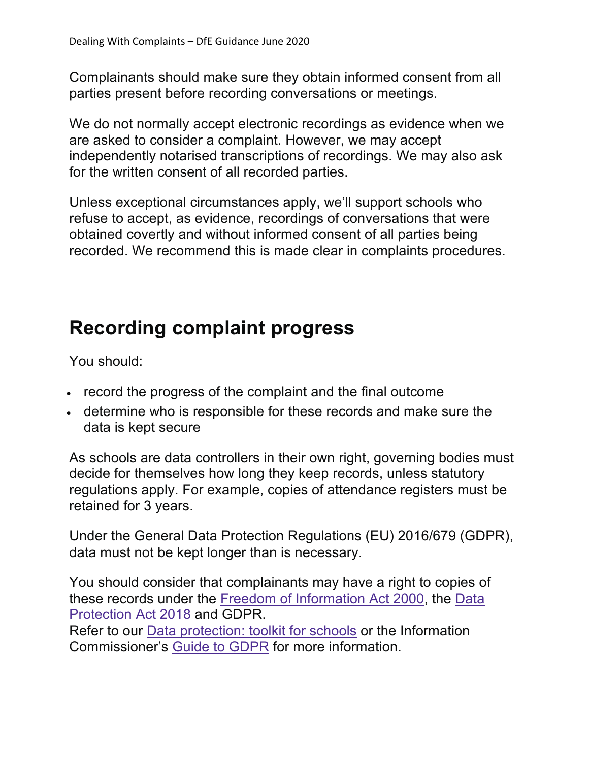Complainants should make sure they obtain informed consent from all parties present before recording conversations or meetings.

We do not normally accept electronic recordings as evidence when we are asked to consider a complaint. However, we may accept independently notarised transcriptions of recordings. We may also ask for the written consent of all recorded parties.

Unless exceptional circumstances apply, we'll support schools who refuse to accept, as evidence, recordings of conversations that were obtained covertly and without informed consent of all parties being recorded. We recommend this is made clear in complaints procedures.

#### **Recording complaint progress**

You should:

- record the progress of the complaint and the final outcome
- determine who is responsible for these records and make sure the data is kept secure

As schools are data controllers in their own right, governing bodies must decide for themselves how long they keep records, unless statutory regulations apply. For example, copies of attendance registers must be retained for 3 years.

Under the General Data Protection Regulations (EU) 2016/679 (GDPR), data must not be kept longer than is necessary.

You should consider that complainants may have a right to copies of these records under the Freedom of Information Act 2000, the Data Protection Act 2018 and GDPR. Refer to our Data protection: toolkit for schools or the Information Commissioner's Guide to GDPR for more information.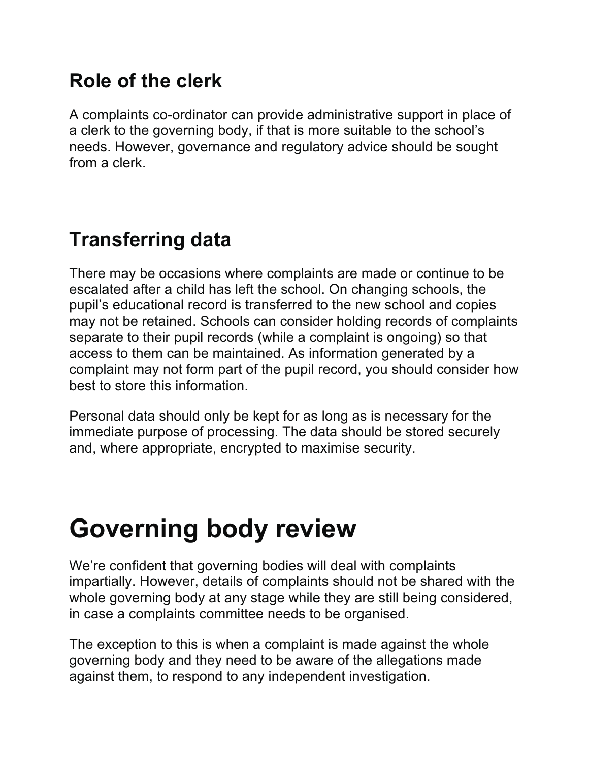## **Role of the clerk**

A complaints co-ordinator can provide administrative support in place of a clerk to the governing body, if that is more suitable to the school's needs. However, governance and regulatory advice should be sought from a clerk.

## **Transferring data**

There may be occasions where complaints are made or continue to be escalated after a child has left the school. On changing schools, the pupil's educational record is transferred to the new school and copies may not be retained. Schools can consider holding records of complaints separate to their pupil records (while a complaint is ongoing) so that access to them can be maintained. As information generated by a complaint may not form part of the pupil record, you should consider how best to store this information.

Personal data should only be kept for as long as is necessary for the immediate purpose of processing. The data should be stored securely and, where appropriate, encrypted to maximise security.

## **Governing body review**

We're confident that governing bodies will deal with complaints impartially. However, details of complaints should not be shared with the whole governing body at any stage while they are still being considered, in case a complaints committee needs to be organised.

The exception to this is when a complaint is made against the whole governing body and they need to be aware of the allegations made against them, to respond to any independent investigation.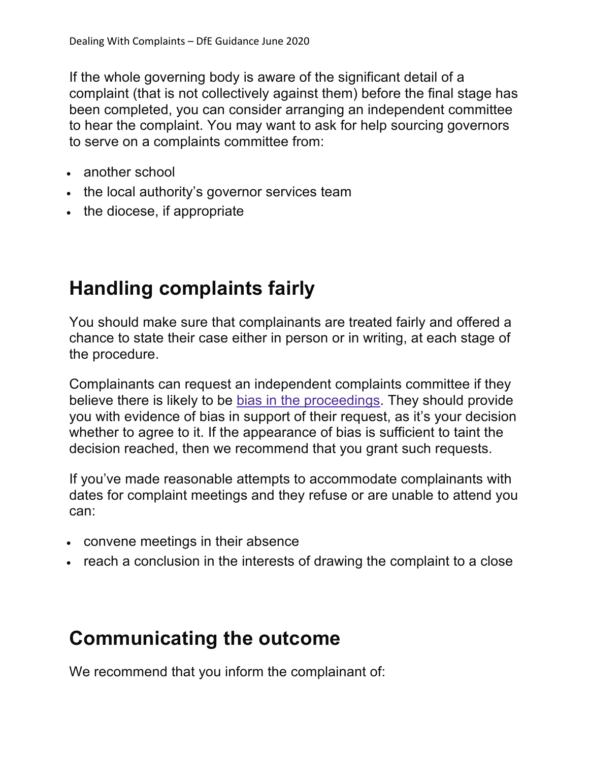If the whole governing body is aware of the significant detail of a complaint (that is not collectively against them) before the final stage has been completed, you can consider arranging an independent committee to hear the complaint. You may want to ask for help sourcing governors to serve on a complaints committee from:

- another school
- the local authority's governor services team
- the diocese, if appropriate

## **Handling complaints fairly**

You should make sure that complainants are treated fairly and offered a chance to state their case either in person or in writing, at each stage of the procedure.

Complainants can request an independent complaints committee if they believe there is likely to be bias in the proceedings. They should provide you with evidence of bias in support of their request, as it's your decision whether to agree to it. If the appearance of bias is sufficient to taint the decision reached, then we recommend that you grant such requests.

If you've made reasonable attempts to accommodate complainants with dates for complaint meetings and they refuse or are unable to attend you can:

- convene meetings in their absence
- reach a conclusion in the interests of drawing the complaint to a close

#### **Communicating the outcome**

We recommend that you inform the complainant of: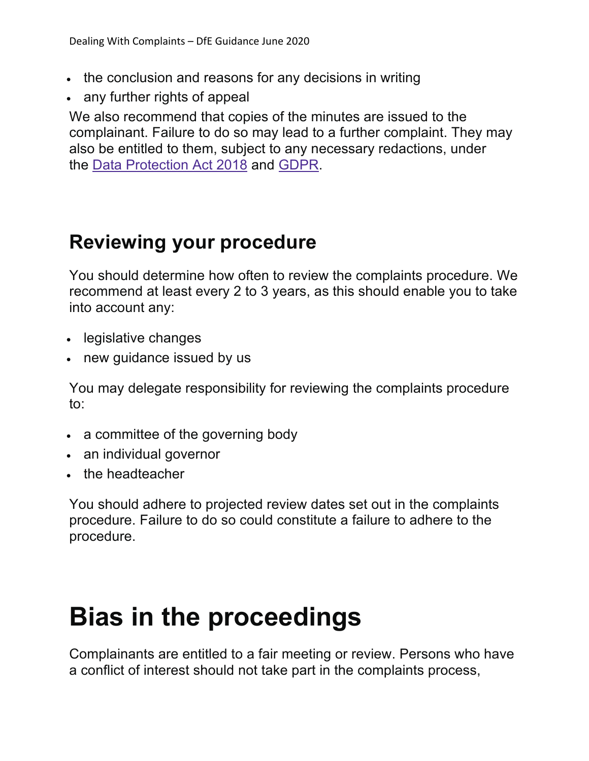- the conclusion and reasons for any decisions in writing
- any further rights of appeal

We also recommend that copies of the minutes are issued to the complainant. Failure to do so may lead to a further complaint. They may also be entitled to them, subject to any necessary redactions, under the Data Protection Act 2018 and GDPR.

#### **Reviewing your procedure**

You should determine how often to review the complaints procedure. We recommend at least every 2 to 3 years, as this should enable you to take into account any:

- legislative changes
- new guidance issued by us

You may delegate responsibility for reviewing the complaints procedure to:

- a committee of the governing body
- an individual governor
- the headteacher

You should adhere to projected review dates set out in the complaints procedure. Failure to do so could constitute a failure to adhere to the procedure.

## **Bias in the proceedings**

Complainants are entitled to a fair meeting or review. Persons who have a conflict of interest should not take part in the complaints process,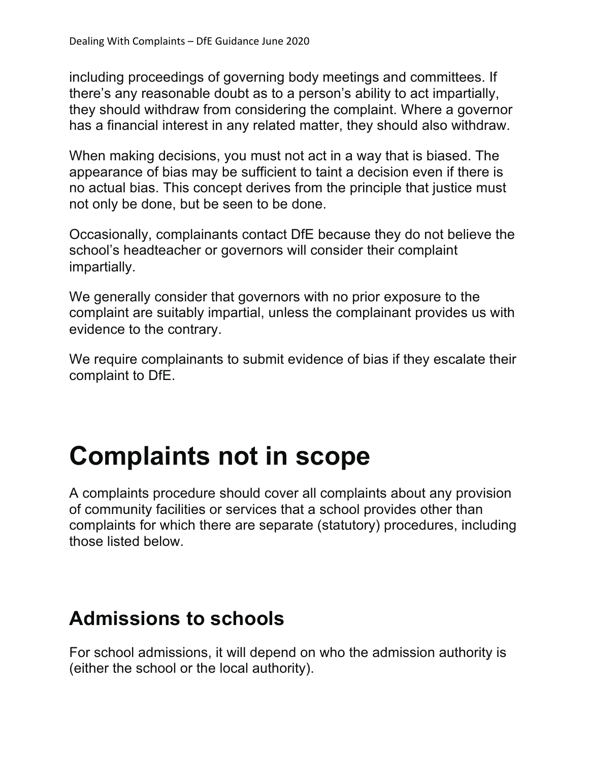including proceedings of governing body meetings and committees. If there's any reasonable doubt as to a person's ability to act impartially, they should withdraw from considering the complaint. Where a governor has a financial interest in any related matter, they should also withdraw.

When making decisions, you must not act in a way that is biased. The appearance of bias may be sufficient to taint a decision even if there is no actual bias. This concept derives from the principle that justice must not only be done, but be seen to be done.

Occasionally, complainants contact DfE because they do not believe the school's headteacher or governors will consider their complaint impartially.

We generally consider that governors with no prior exposure to the complaint are suitably impartial, unless the complainant provides us with evidence to the contrary.

We require complainants to submit evidence of bias if they escalate their complaint to DfE.

## **Complaints not in scope**

A complaints procedure should cover all complaints about any provision of community facilities or services that a school provides other than complaints for which there are separate (statutory) procedures, including those listed below.

#### **Admissions to schools**

For school admissions, it will depend on who the admission authority is (either the school or the local authority).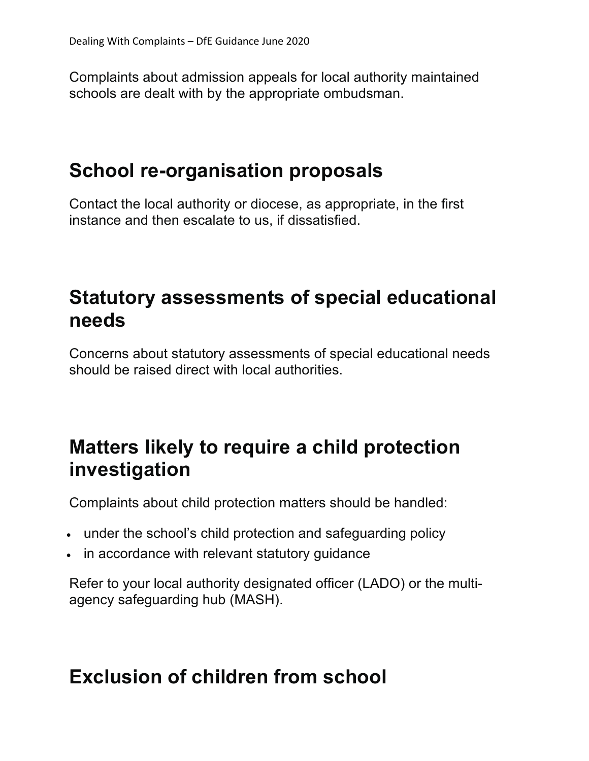Complaints about admission appeals for local authority maintained schools are dealt with by the appropriate ombudsman.

#### **School re-organisation proposals**

Contact the local authority or diocese, as appropriate, in the first instance and then escalate to us, if dissatisfied.

#### **Statutory assessments of special educational needs**

Concerns about statutory assessments of special educational needs should be raised direct with local authorities.

#### **Matters likely to require a child protection investigation**

Complaints about child protection matters should be handled:

- under the school's child protection and safeguarding policy
- in accordance with relevant statutory guidance

Refer to your local authority designated officer (LADO) or the multiagency safeguarding hub (MASH).

#### **Exclusion of children from school**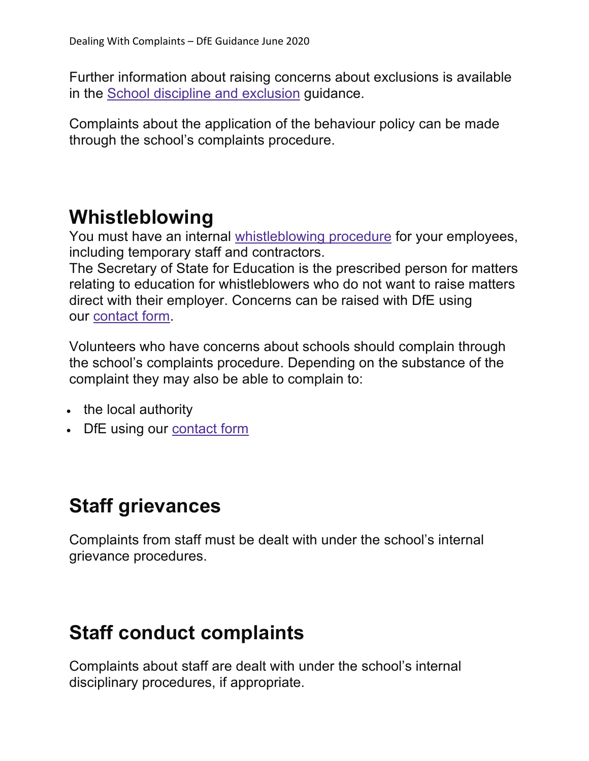Further information about raising concerns about exclusions is available in the School discipline and exclusion guidance.

Complaints about the application of the behaviour policy can be made through the school's complaints procedure.

#### **Whistleblowing**

You must have an internal whistleblowing procedure for your employees, including temporary staff and contractors.

The Secretary of State for Education is the prescribed person for matters relating to education for whistleblowers who do not want to raise matters direct with their employer. Concerns can be raised with DfE using our contact form.

Volunteers who have concerns about schools should complain through the school's complaints procedure. Depending on the substance of the complaint they may also be able to complain to:

- the local authority
- DfE using our contact form

## **Staff grievances**

Complaints from staff must be dealt with under the school's internal grievance procedures.

#### **Staff conduct complaints**

Complaints about staff are dealt with under the school's internal disciplinary procedures, if appropriate.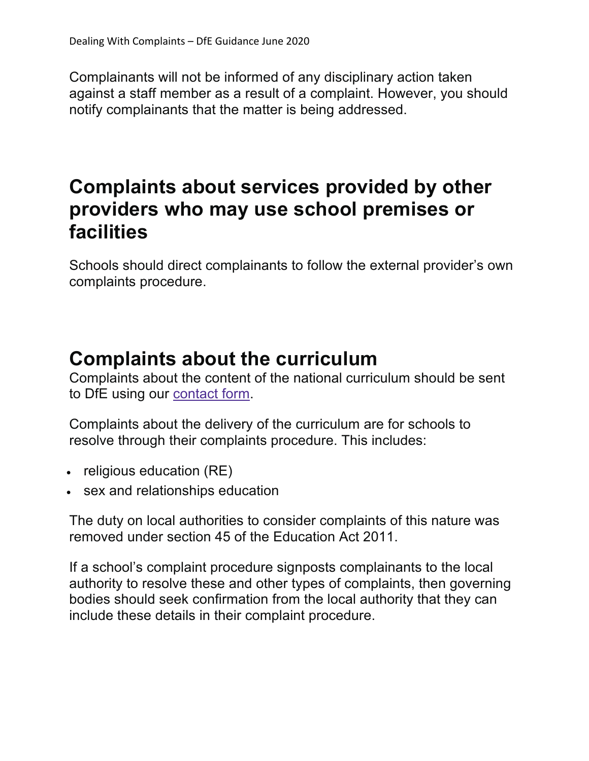Complainants will not be informed of any disciplinary action taken against a staff member as a result of a complaint. However, you should notify complainants that the matter is being addressed.

#### **Complaints about services provided by other providers who may use school premises or facilities**

Schools should direct complainants to follow the external provider's own complaints procedure.

#### **Complaints about the curriculum**

Complaints about the content of the national curriculum should be sent to DfE using our contact form.

Complaints about the delivery of the curriculum are for schools to resolve through their complaints procedure. This includes:

- religious education (RE)
- sex and relationships education

The duty on local authorities to consider complaints of this nature was removed under section 45 of the Education Act 2011.

If a school's complaint procedure signposts complainants to the local authority to resolve these and other types of complaints, then governing bodies should seek confirmation from the local authority that they can include these details in their complaint procedure.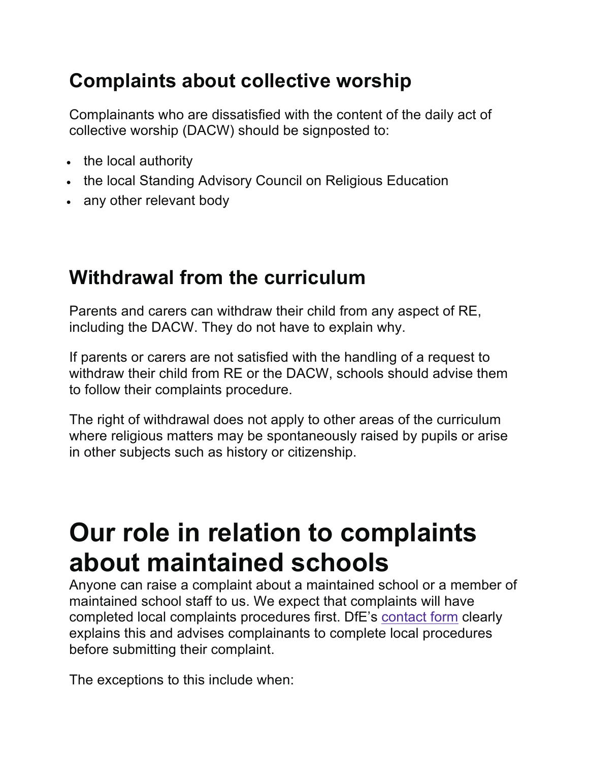## **Complaints about collective worship**

Complainants who are dissatisfied with the content of the daily act of collective worship (DACW) should be signposted to:

- the local authority
- the local Standing Advisory Council on Religious Education
- any other relevant body

#### **Withdrawal from the curriculum**

Parents and carers can withdraw their child from any aspect of RE, including the DACW. They do not have to explain why.

If parents or carers are not satisfied with the handling of a request to withdraw their child from RE or the DACW, schools should advise them to follow their complaints procedure.

The right of withdrawal does not apply to other areas of the curriculum where religious matters may be spontaneously raised by pupils or arise in other subjects such as history or citizenship.

## **Our role in relation to complaints about maintained schools**

Anyone can raise a complaint about a maintained school or a member of maintained school staff to us. We expect that complaints will have completed local complaints procedures first. DfE's contact form clearly explains this and advises complainants to complete local procedures before submitting their complaint.

The exceptions to this include when: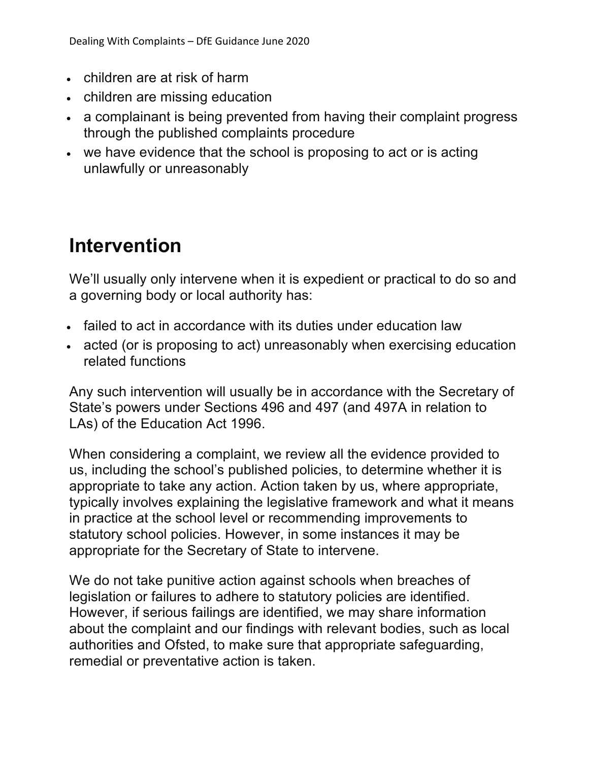- children are at risk of harm
- children are missing education
- a complainant is being prevented from having their complaint progress through the published complaints procedure
- we have evidence that the school is proposing to act or is acting unlawfully or unreasonably

#### **Intervention**

We'll usually only intervene when it is expedient or practical to do so and a governing body or local authority has:

- failed to act in accordance with its duties under education law
- acted (or is proposing to act) unreasonably when exercising education related functions

Any such intervention will usually be in accordance with the Secretary of State's powers under Sections 496 and 497 (and 497A in relation to LAs) of the Education Act 1996.

When considering a complaint, we review all the evidence provided to us, including the school's published policies, to determine whether it is appropriate to take any action. Action taken by us, where appropriate, typically involves explaining the legislative framework and what it means in practice at the school level or recommending improvements to statutory school policies. However, in some instances it may be appropriate for the Secretary of State to intervene.

We do not take punitive action against schools when breaches of legislation or failures to adhere to statutory policies are identified. However, if serious failings are identified, we may share information about the complaint and our findings with relevant bodies, such as local authorities and Ofsted, to make sure that appropriate safeguarding, remedial or preventative action is taken.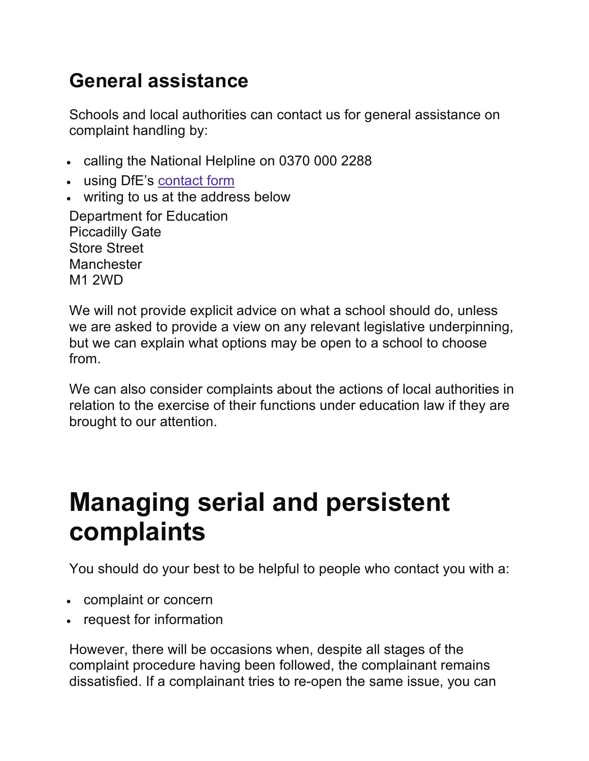## **General assistance**

Schools and local authorities can contact us for general assistance on complaint handling by:

- calling the National Helpline on 0370 000 2288
- using DfE's contact form
- writing to us at the address below

Department for Education Piccadilly Gate Store Street **Manchester** M1 2WD

We will not provide explicit advice on what a school should do, unless we are asked to provide a view on any relevant legislative underpinning, but we can explain what options may be open to a school to choose from.

We can also consider complaints about the actions of local authorities in relation to the exercise of their functions under education law if they are brought to our attention.

## **Managing serial and persistent complaints**

You should do your best to be helpful to people who contact you with a:

- complaint or concern
- request for information

However, there will be occasions when, despite all stages of the complaint procedure having been followed, the complainant remains dissatisfied. If a complainant tries to re-open the same issue, you can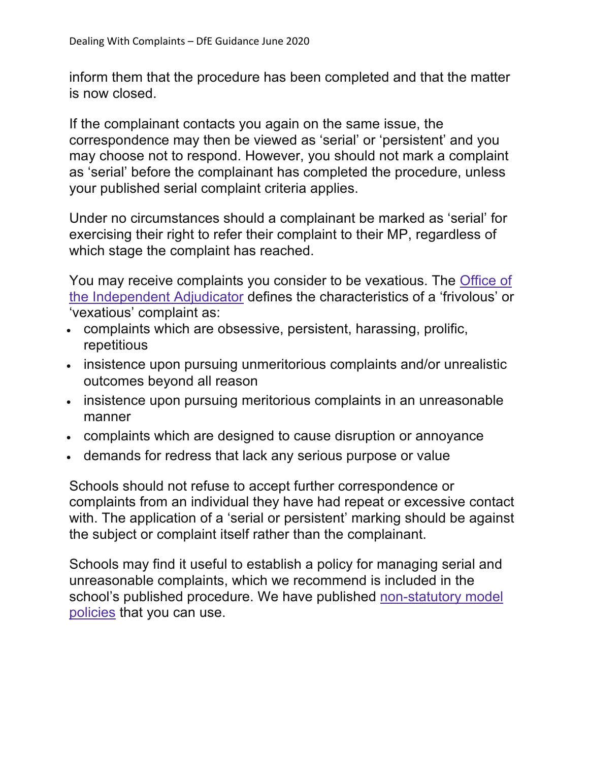inform them that the procedure has been completed and that the matter is now closed.

If the complainant contacts you again on the same issue, the correspondence may then be viewed as 'serial' or 'persistent' and you may choose not to respond. However, you should not mark a complaint as 'serial' before the complainant has completed the procedure, unless your published serial complaint criteria applies.

Under no circumstances should a complainant be marked as 'serial' for exercising their right to refer their complaint to their MP, regardless of which stage the complaint has reached.

You may receive complaints you consider to be vexatious. The Office of the Independent Adjudicator defines the characteristics of a 'frivolous' or 'vexatious' complaint as:

- complaints which are obsessive, persistent, harassing, prolific, repetitious
- insistence upon pursuing unmeritorious complaints and/or unrealistic outcomes beyond all reason
- insistence upon pursuing meritorious complaints in an unreasonable manner
- complaints which are designed to cause disruption or annoyance
- demands for redress that lack any serious purpose or value

Schools should not refuse to accept further correspondence or complaints from an individual they have had repeat or excessive contact with. The application of a 'serial or persistent' marking should be against the subject or complaint itself rather than the complainant.

Schools may find it useful to establish a policy for managing serial and unreasonable complaints, which we recommend is included in the school's published procedure. We have published non-statutory model policies that you can use.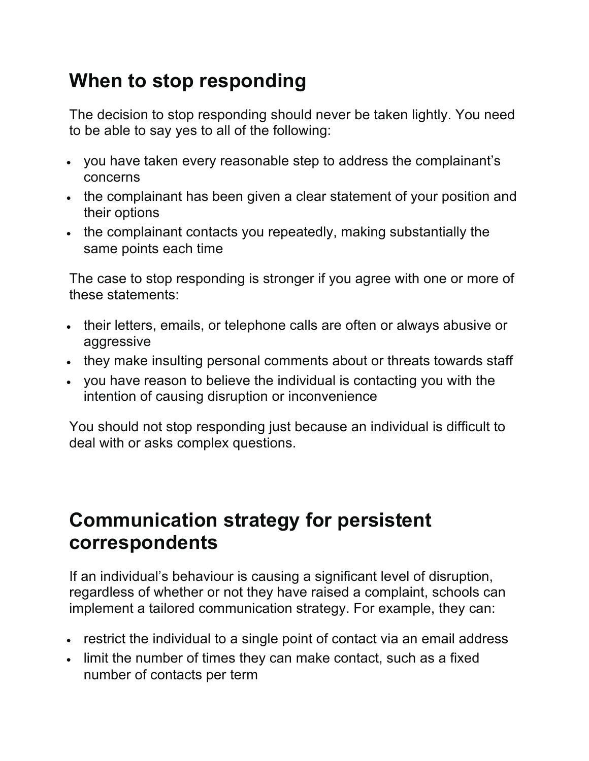## **When to stop responding**

The decision to stop responding should never be taken lightly. You need to be able to say yes to all of the following:

- you have taken every reasonable step to address the complainant's concerns
- the complainant has been given a clear statement of your position and their options
- the complainant contacts you repeatedly, making substantially the same points each time

The case to stop responding is stronger if you agree with one or more of these statements:

- their letters, emails, or telephone calls are often or always abusive or aggressive
- they make insulting personal comments about or threats towards staff
- you have reason to believe the individual is contacting you with the intention of causing disruption or inconvenience

You should not stop responding just because an individual is difficult to deal with or asks complex questions.

#### **Communication strategy for persistent correspondents**

If an individual's behaviour is causing a significant level of disruption, regardless of whether or not they have raised a complaint, schools can implement a tailored communication strategy. For example, they can:

- restrict the individual to a single point of contact via an email address
- limit the number of times they can make contact, such as a fixed number of contacts per term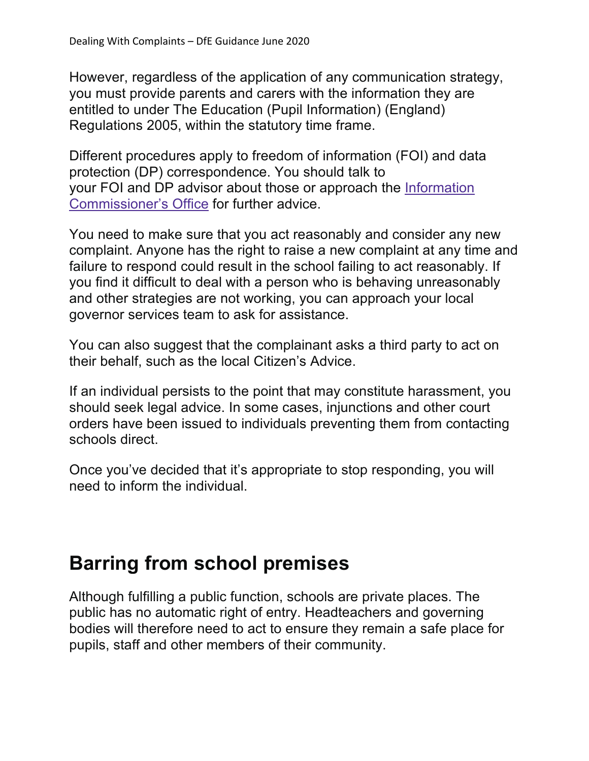However, regardless of the application of any communication strategy, you must provide parents and carers with the information they are entitled to under The Education (Pupil Information) (England) Regulations 2005, within the statutory time frame.

Different procedures apply to freedom of information (FOI) and data protection (DP) correspondence. You should talk to your FOI and DP advisor about those or approach the Information Commissioner's Office for further advice.

You need to make sure that you act reasonably and consider any new complaint. Anyone has the right to raise a new complaint at any time and failure to respond could result in the school failing to act reasonably. If you find it difficult to deal with a person who is behaving unreasonably and other strategies are not working, you can approach your local governor services team to ask for assistance.

You can also suggest that the complainant asks a third party to act on their behalf, such as the local Citizen's Advice.

If an individual persists to the point that may constitute harassment, you should seek legal advice. In some cases, injunctions and other court orders have been issued to individuals preventing them from contacting schools direct.

Once you've decided that it's appropriate to stop responding, you will need to inform the individual.

## **Barring from school premises**

Although fulfilling a public function, schools are private places. The public has no automatic right of entry. Headteachers and governing bodies will therefore need to act to ensure they remain a safe place for pupils, staff and other members of their community.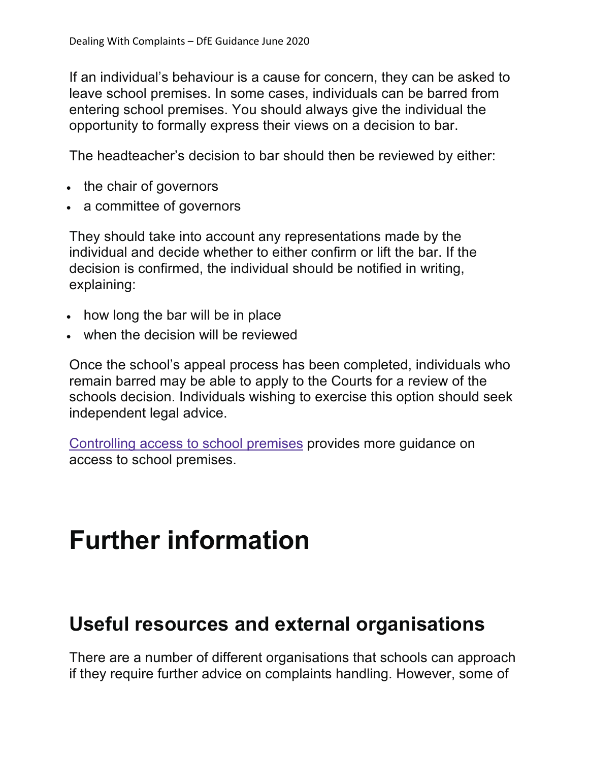If an individual's behaviour is a cause for concern, they can be asked to leave school premises. In some cases, individuals can be barred from entering school premises. You should always give the individual the opportunity to formally express their views on a decision to bar.

The headteacher's decision to bar should then be reviewed by either:

- the chair of governors
- a committee of governors

They should take into account any representations made by the individual and decide whether to either confirm or lift the bar. If the decision is confirmed, the individual should be notified in writing, explaining:

- how long the bar will be in place
- when the decision will be reviewed

Once the school's appeal process has been completed, individuals who remain barred may be able to apply to the Courts for a review of the schools decision. Individuals wishing to exercise this option should seek independent legal advice.

Controlling access to school premises provides more guidance on access to school premises.

## **Further information**

#### **Useful resources and external organisations**

There are a number of different organisations that schools can approach if they require further advice on complaints handling. However, some of